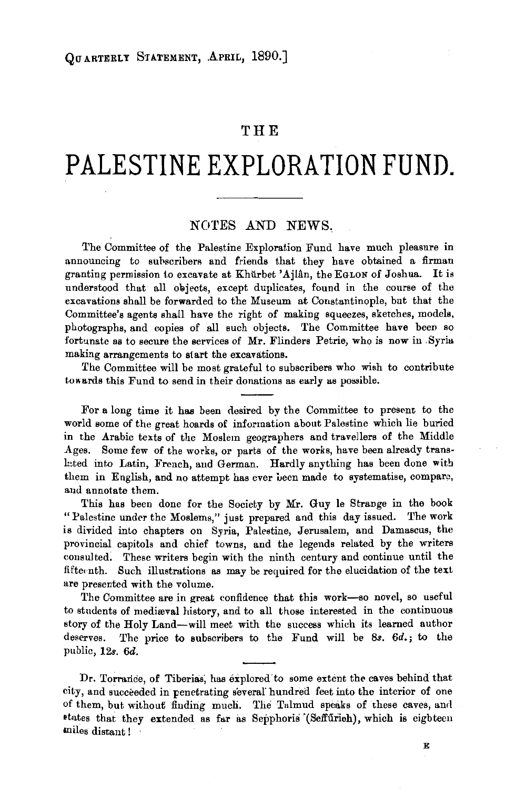# **THE**

# **PALESTINE EXPLORATION FUND.**

### NOTES AND NEWS.

The Committee of the Palestine Exploration Fund have much pleasure in announcing to subscribers and friends that they have obtained a firman granting permission to excavate at Khurbet 'Ajlân, the EGLON of Joshua. It is understood that all objects, except duplicates, found in the course of the excavations shall be forwarded to the Museum at Constantinople, but that the Committee's agents shall have the right of making squeezes, sketches, models, photographs, and copies of all such objects. The Committee have been so fortunate as to secure the services of Mr. Flinders Petrie, who is now in Syria making arrangements to start the excavations.

The Committee will be most grateful to subscribers who wish to contribute towards this Fund to send in their donations as early as possible.

For a long time it has been desired by the Committee to present to the world some of the great hoards of information about Palestine which lie buried in the Arabic texts of the Moslem geographers and travellers of the Middle Ages. Some few of the works, or parts of the works, have been already trans· lated into Latin, French, and German. Hardly anything has been done with them in English, and no attempt has ever been made to systematise, compare, and annotate them.

This has been done for the Society by Mr. Guy le Strange in the book "Palestine under the Moslems," just prepared and this day issued. The work is divided into chapters on Syria, Palestine, Jerusalem, and Damascus, the provincial capitols and chief towns, and the legends related by the writers consulted. These writers begin with the ninth century and continue until the fifteenth. Such illustrations as may be required for the elucidation of the text are presented with the volume.

The Committee are in great confidence that this work-so novel, so useful to students of mediæval history, and to all those interested in the continuous story of the Holy Land-will meet with the success which its learned author deserves. The price to subscribers to the Fund will be *Ss. 6d.;* to the public, 12s. *6d.* 

Dr. Torrance, of Tiberias, has explored to some extent the caves behind that city, and succeeded in penetrating several' hundred feet into the interior of one of them, but without finding much. The Talmud speaks of these caves, and states that they extended as far as Sepphoris (Seffurieh), which is eighteen miles distant !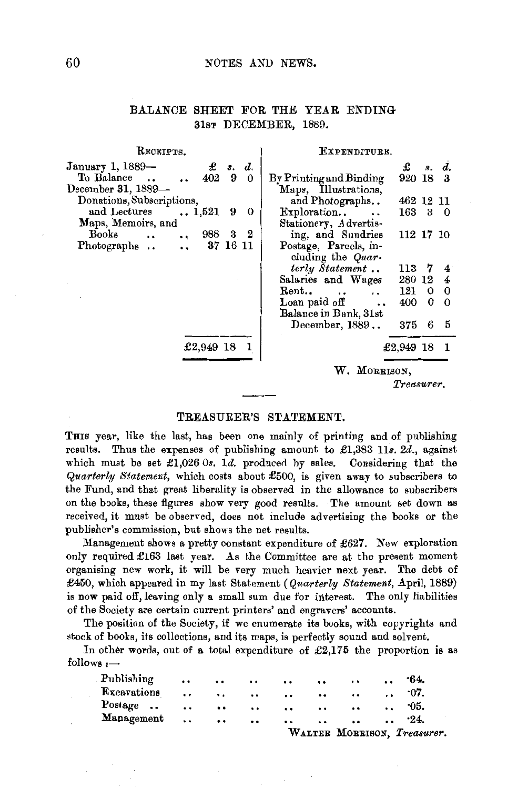#### 60 NOTES AND NEWS.

## BALANCE SHEET FOR THE YEAR ENDING 31sT DECEMBER, 1889.

| Receipts.                                             | Expenditure.                                 |  |  |  |
|-------------------------------------------------------|----------------------------------------------|--|--|--|
| January 1, 1889-<br>£<br>s. d.                        | £<br>s. d.                                   |  |  |  |
| To Balance<br>402<br>9<br>0<br>$\ddot{\phantom{a}}$   | 920 18 3<br>By Printing and Binding          |  |  |  |
| December 31, 1889-                                    | Maps, Illustrations,                         |  |  |  |
| Donations, Subscriptions,                             | 462 12 11<br>and Photographs                 |  |  |  |
| and Lectures<br>$\ldots 1,521$<br>9<br>$\bf{0}$       | 163 3<br>Exploration<br>$\bf{0}$             |  |  |  |
| Maps, Memoirs, and                                    | Stationery, Advertis-                        |  |  |  |
| $\bf{2}$<br>988<br>Books<br>3<br>$\ddot{\phantom{0}}$ | ing, and Sundries<br>112 17 10               |  |  |  |
| 37 16 11<br>Photographs                               | Postage, Parcels, in-                        |  |  |  |
|                                                       | cluding the Quar-                            |  |  |  |
|                                                       | terly Statement<br>113<br>- 7<br>$4^{\circ}$ |  |  |  |
|                                                       | Salaries and Wages<br>4<br>280 12            |  |  |  |
|                                                       | $\bf{0}$<br>121<br>Rent<br>0<br>$\sim$       |  |  |  |
|                                                       | Loan paid off<br>$\Omega$<br>400<br>0        |  |  |  |
|                                                       | Balance in Bank, 31st                        |  |  |  |
|                                                       | December, 1889<br>375<br>6<br>- 5            |  |  |  |
|                                                       |                                              |  |  |  |
| £2,949 18                                             | £2,949 18<br>- 1                             |  |  |  |
|                                                       | W. MORRISON,                                 |  |  |  |
|                                                       | Treasurer.                                   |  |  |  |

#### TREASURER'S STATEMENT.

THIS year, like the last, has been one mainly of printing and of publishing results. Thus the expenses of publishing amount to £1,383 11s. 2d., against which must be set  $\pounds1,026$  Os. 1d. produced by sales. Considering that the *Quarterly Statement,* which costs about £500, is given away to subscribers to the Fund, and that great liberality is observed in the allowance to subscribers on the books, these figures show very good results. The amount set down as received, it must be observed, does not include advertising the books or the publisher's commission, but shows the net results.

Management shows a pretty constant expenditure of £627. New exploration only required £163 last year. As the Committee are at the present moment organising new work, it will be very much heavier next year. The debt of £450, which appeared in my last Statement *(Quarterly Statement,* April, 1889) is now paid off, leaving only a small sum due for interest. The only liabilities of the Society are certain current printers' and engravers' accounts.

The position of the Society, if we enumerate its books, with copyrights and stock of books, its collections, and its maps, is perfectly sound and solvent.

In other words, out of a total expenditure of £2,175 the proportion is as follows  $\overline{\phantom{a}}$ 

|             |                      |               |                      |                      |                   | WALTER MORRISON, Treasurer. |                      |                   |  |
|-------------|----------------------|---------------|----------------------|----------------------|-------------------|-----------------------------|----------------------|-------------------|--|
| Management  | $\ddotsc$            | $\cdot \cdot$ | $\ddot{\phantom{0}}$ | $\ddot{\phantom{0}}$ | $\cdot \cdot$     | $\bullet$                   | $\ddot{\phantom{a}}$ | $-24.$            |  |
| Postage     |                      | $\cdot \cdot$ |                      | $\cdots$             |                   | $\ddotsc$                   |                      | $\cdot \cdot 05.$ |  |
| Excavations | $\cdot$ .            | $\ddotsc$     |                      | $\cdots$ $\cdots$    | $\cdot$ .         | $\cdot \cdot$               | $\ddots$             | $0.07$ .          |  |
| Publishing  | $\ddot{\phantom{0}}$ | $\cdot \cdot$ | $\cdot$ .            |                      | $\cdots$ $\cdots$ | $\cdots$                    | $\ddotsc$            | .64.              |  |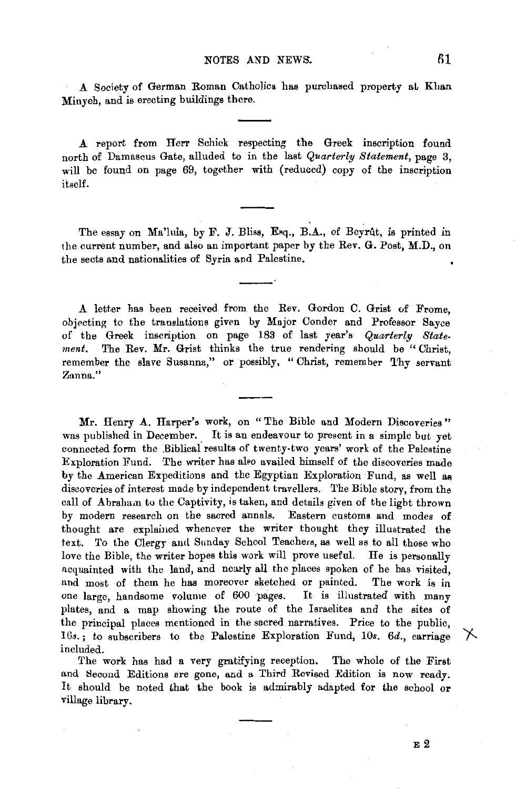A Society of German Roman Catholics has purchased property at Khan Minyeh, and is erecting buildings there.

A report from Herr Schick respecting the Greek inscription found north of Damascus Gate, alluded to in the last *Quarterly Statement,* page 3, will be found on page 69, together with (reduced) copy of the inscription itself.

The essay on Ma'lula, by F. J. Bliss, Esq., B.A., of Beyrut, is printed in the current number, and also an important paper by the Rev. G. Post, M.D., on the sects and nationalities of Syria and Palestine.

A letter has been received from the Rev. Gordon C. Grist uf Frome, objecting to the translations given by Major Conder and Professor Sayee of the Greek inscription on page 183 of last year's *Quarterly State·*  ment. The Rev. Mr. Grist thinks the true rendering should be "Christ, remember the slave Susanna," or possibly, "Christ, remember Thy servant **Zanna.''** 

Mr. Henry A. Harper's work, on "The Bible and Modern Discoveries" was published in December. It is an endeavour to present in a simple but vet connected form the Biblical results of twenty-two years' work of the Palestine Exploration Fund. The writer has also availed himself of the discoveries made by the American Expeditions and the Egyptian Exploration Fund, as well as discoveries of interest made by independent travellers. The Bible story, from the call of Abraham to the Captivity, is taken, and details given of the light thrown by modern research on the sacred annals. Eastern customs and modes of thought are explained whenever the writer thought they illustrated the text. To the Clergy and Sunday School Teachers, as well as to all those who love the Bible, the writer hopes this work will prove useful. He is personally acquainted with the land, and nearly all the places spoken of he has visited, and most of them he has moreover sketched or painted. The work is in one large, handsome volume of 600 pages. It is illustrated with many plates, and a map showing the route of the Israelites and the sites of the principal places mentioned in the sacred narratives. Price to the public, 16s.; to subscribers to the Palestine Exploration Fund, 10s. 6d., carriage included.

The work has had a very gratifying reception. The whole of the First and Second Editions are gone, and a Third Revised Edition is now ready It should be noted that the book is admirably adapted for the school or village library.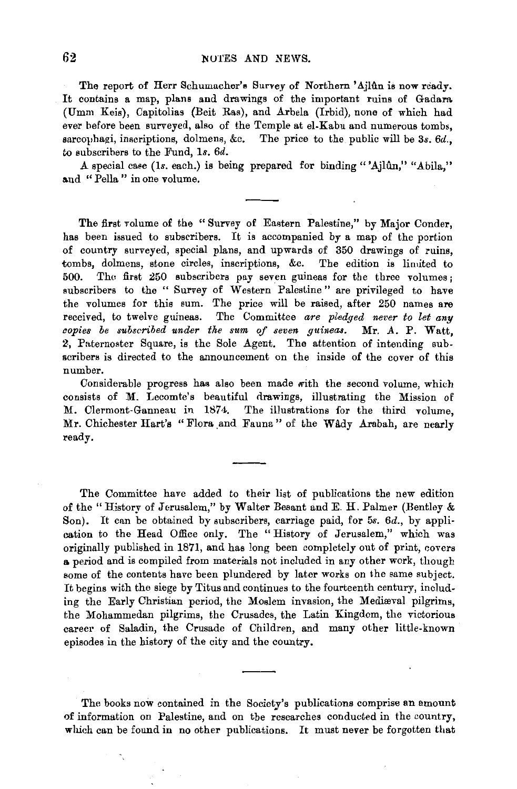The report of Herr Schumacher's Survey of Northern 'Ajlûn is now ready. It contains a map, plans and drawings of the important ruins of Gadam (Umm Keis), Capitolias (Beit Ras), and Arbela (Irbid), none of which had ever before been surveyed, also of the Temple at el-Kabu and numerous tombs, sarcouhagi, inscriptions, dolmens, &c. The price to the public will be  $3s$ .  $6d$ . to subscribers to the Fund, 1s. 6d.

A special case (1s. each.) is being prepared for binding "'Ajlûn," "Abila." and "Pella" in one volume.

The first volume of the " Survey of Eastern Palestine," by Major Conder, has been issued to subscribers. It is accompanied by a map of the portion of country surveyed, special plans, and upwards of 350 drawings of ruins, tombs, dolmens, stone circles, inscriptions, &c. The edition is limited to 500. Tho first 250 subscribers pay seven guineas for the three volumes; subscribers to the " Survey of Western Palestine" are privileged to have the volumes for this sum. The price will be raised, after 250 names are received, to twelve guineas. The Committee *are pledged never to let any copies be subscribed under the sum of seven guineas.* Mr. A. P. Watt, 2. Paternoster Square, is the Sole Agent. The attention of intending subscribers is directed to the announcement on the inside of the cover of this number.

Considerable progress has also been made with the second volume, which consists of M. Lecomte's beautiful drawings, illustrating the Mission of M. Clermont-Ganneau in 1874. The illustrations for the third volume, Mr. Chichester Hart's "Flora and Fauna" of the Wady Arabah, are nearly ready.

The Committee have added to their list of publications the new edition of the" History of Jerusalem," by Walter Besant and E. H. Palmer (Bentley & Son). It can be obtained by subscribers, carriage paid, for 5s. 6d., by application to the Head Office only. The "History of Jerusalem," which was originally published in 1871, and has long been completely out of print, covers a period and is compiled from materials not included in any other work, though some of the contents have been plundered by later works on the same subject. It begins with the siege by Titus and continues to the fourteenth century, including the Early Christian period, the Moslem invasion, the Medieval pilgrims, the Mohammedan pilgrims, the Crusades, the Latin Kingdom, the victorious career of Saladin, the Crusade of Children, and many other little-known episodes in the history of the city and the country.

The books now contained in the Society's publications comprise an amount of information on Palestine, and on the researches conducted in the country, which can be found in no other publications. It must never be forgotten that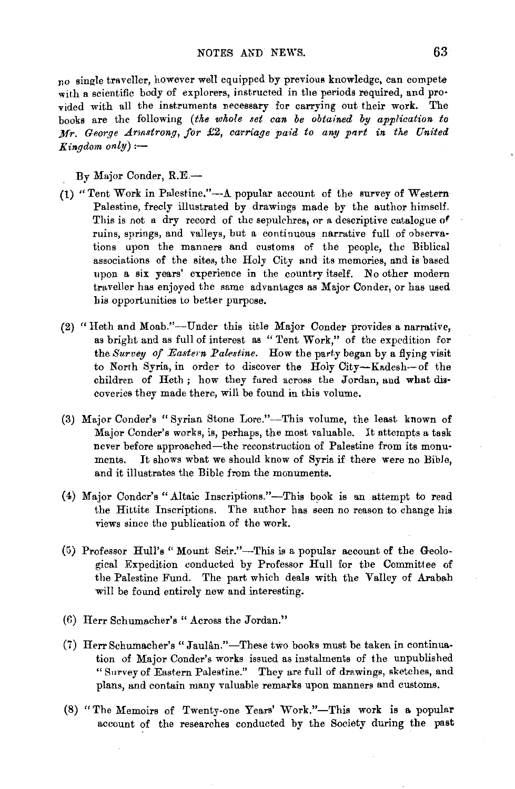no single traveller, however well equipped by previous knowledge, can compete with a scientific body of explorers, instructed in the periods required, and provided with all the instruments necessary for carrying out their work. The books are the following *(tke whole set can be obtained by application to Mr. George Arnstrong, for £2, carriage paid to any part in the United*  $Kindom \text{ } only \text{ } :-$ 

By Major Conder, R.E.-

- (1) "Tent Work in Palestine."--A popular account of the survey of Western Palestine, freely illustrated by drawings made by the author himself. This is not a dry record of the sepulchres, or a descriptive catalogue of ruins, springs, and valleys, but a continuous narrative full of observations upon the manners and customs of the people, the Biblical associations of the sites, the Holy City and its memories, and is based upon a six years' experience in the country itself. No other modern traveller has enjoyed the same advantages as Major Conder, or has used his opportunities to better purpose.
- (2} "Heth and Moab."-Under this title Major Conder provides a narrative, as bright and as full of interest as " Tent Work," of the expedition for the *Survey of Eastern Palestine*. How the party began by a flying visit to North Syria, in order to discover the Holy City-Kadesh-of the children of Heth; how they fared across the Jordan, and what discoveries they made there, will be found in this volume.
- (3) Major Conder's "Syrian Stone Lore."-This volume, the least known of Major Conder's works, is, perhaps, the most valuable. It attempts a task never before approached-the reconstruction of Palestine from its monuments. It shows what we should know of Syria if there were no Bible, and it illustrates the Bible from the monuments.
- (4) Major Conder's" Altaic Inscriptions."-Tbis book is an attempt to read the Hittite Inscriptions. The author has seen no reason to change his views since the publication of the work.
- (5) Professor Hull's" Mount Seir."-This is a popular account of the Geological Expedition conducted by Professor Hull for the Committee of the Palestine Fund. The part which deals with the Valley of Arabah will be found entirely new and interesting.
- (6) Herr Schumacher's "Across the Jordan."
- (7) Herr Schumacher's "Jaulân."-These two books must be taken in continuation of Major Conder's works issued as instalments of the unpublished " Survey of Eastern Palestine." They are full of drawings, sketches, and plans, and contain many valuable remarks upon manners and customs.
- (8) "The Memoirs of Twenty-one Years' Work."-This work is a popular account of the researches conducted by the Society during the past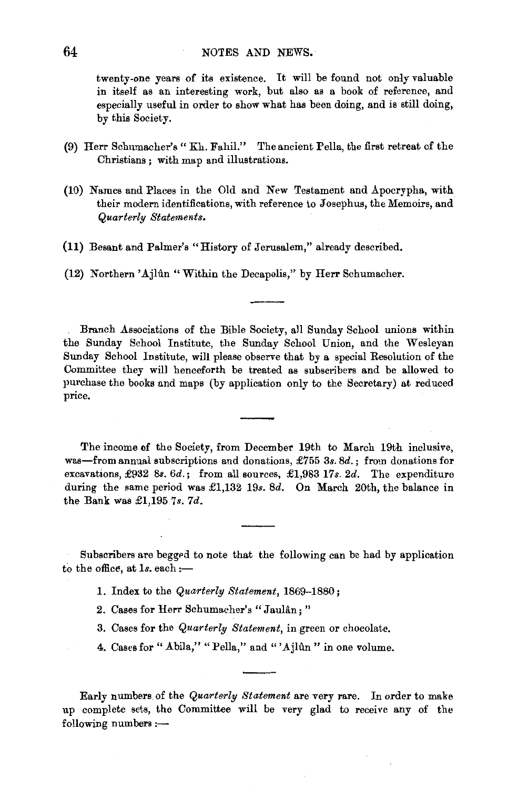twenty-one years of its existence. It will be found not only valuable in itself as an interesting work, but also as a book of reference, and especially useful in order to show what has been doing, and is still doing, by this Society.

- (9) Herr Schmnacher's " Kh. Fahil." The ancient Pella, the first ret-reat of the Christians; with map and illustrations.
- (10) Names and Places in the Old and New Testament and Apocrypha, with their modern identifications, with reference to Josephus, the Memoirs, and *Quarterly Statements.*
- **(11)** Besant and Palmer's "History of Jerusalem," already described.

(12) Northern 'Ajlûn "Within the Decapolis," by Herr Schumacher.

Branch Associations of the Bible Society, all Sunday School unions within the Sunday School Institute, the Sunday School Union, and the Wesleyan Sunday School Institute, will please observe that by a special Resolution of the Committee they will henceforth be treated as subscribers and be allowed to purchase the books and maps (by application only to the Secretary) at reduced price.

The income of the Society, from December 19th to March 19th inclusive, was-from annual subscriptions and donations,  $\pounds 755$  3s. 8d. ; from donations for excavations, £932 *8s. 6d.;* from all sources, £1,983 17s. *2d.* The expenditure during the same period was £1,132 19s. 8d. On March 20th, the balance in the Bank was £1,195 *7s. 7d.* 

Subscribers are begged to note that the following can be had by application to the office, at  $1s$ . each :-

- **1.** Index to the *Quarterly Statement,* 1869-1880 ;
- 2. Cases for Herr Schumacher's "Jaulân;"
- 3. Cases for the *Quarterly Statement,* in green or chocolate.
- 4. Cases for "Abila," "Pella," and "'Ajlun" in one volume.

Early numbers of the *Quarterly Statement* are very rare. In order to make up complete sets, the Committee will be very glad to receive any of the  $following numbers : -$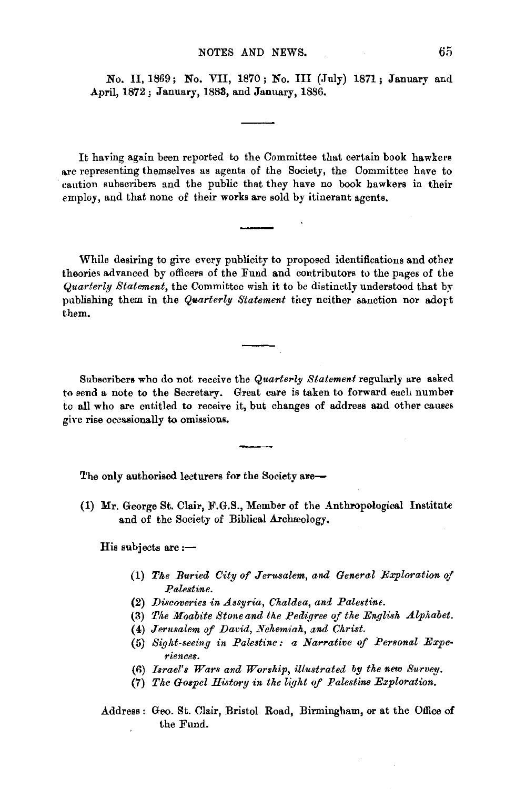No. II, 1869; No. VII, 1870; No. III (July) 1871; January and .April, 1872; January, 1883, and January, 1886.

It having again been reported to the Committee that certain book hawkers are representing themselves as agents of the Society, the Committee have to 'caution subscribers sud the public that they have no book hawkers in their employ, and that none of their works are sold by itinerant agents.

While desiring to give every publicity to proposed identifications and other theories advanced by officers of the Fund and contributors to the pages of the *Quarterly Statement,* the Committee wish it to be distinctly understood that by publishing them in the *Quarterly Statement* they neither sanction nor adort them.

Subscribers who do not receive the *Quarterly Statement* regularly are asked to send a note to the Secretary. Great care is taken to forward each number to all who are entitled to receive it, but changes of address and other causes give rise occasionally to omissions.

The only authorised lecturers for the Society are-

(1) Mr. George St. Clair, F.G.S., Member of the Anthropological Institute and of the Society of Biblical Archaeology.

His subjects are  $:$ --

- (1) *Tke Buried City of Jerusalem, and General Exploration of Palestine.*
- (2) *Discoveries in Assyria, Chaldea, and Palestine.*
- (3) The Moabite Stone and the Pedigree of the English Alphabet.
- (4) *Jerusalem of David, Nehemiah, and Christ.*
- (5) Sight-seeing in Palestine: a Narrative of Personal Expe *riences.*
- (fl) *Israel's Wars and Worship, illustrated by the new Survey.*
- (7) *The Gospel History in the light of Palestine Exploration.*

Address : Geo. St. Clair, Bristol Road, Birmingham, or at the Office of the Fund.